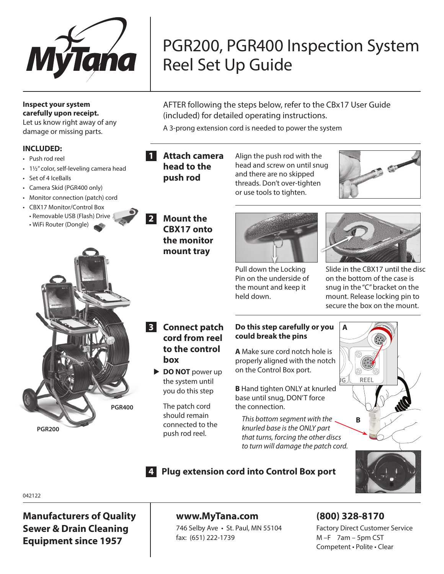

# PGR200, PGR400 Inspection System Reel Set Up Guide

AFTER following the steps below, refer to the CBx17 User Guide (included) for detailed operating instructions.

A 3-prong extension cord is needed to power the system

#### **INCLUDED:**

**Inspect your system carefully upon receipt.**  Let us know right away of any damage or missing parts.

- Push rod reel
- 1½" color, self-leveling camera head
- Set of 4 IceBalls
- Camera Skid (PGR400 only)
- Monitor connection (patch) cord
- CBX17 Monitor/Control Box
- Removable USB (Flash) Drive
- WiFi Router (Dongle)



# **2 Mount the CBX17 onto the monitor**

**mount tray**

**1 Attach camera head to the push rod**

Align the push rod with the head and screw on until snug and there are no skipped threads. Don't over-tighten or use tools to tighten.





Pull down the Locking Pin on the underside of the mount and keep it held down.

Slide in the CBX17 until the disc on the bottom of the case is snug in the "C" bracket on the mount. Release locking pin to secure the box on the mount.

- **3 Connect patch cord from reel to the control box**
	- **DO NOT** power up the system until you do this step

The patch cord should remain connected to the push rod reel.

### **Do this step carefully or you could break the pins**

**A** Make sure cord notch hole is properly aligned with the notch on the Control Box port.

**B** Hand tighten ONLY at knurled base until snug, DON'T force the connection.

*This bottom segment with the knurled base is the ONLY part that turns, forcing the other discs to turn will damage the patch cord.*



042122

**Manufacturers of Quality Sewer & Drain Cleaning Equipment since 1957**

# **www.MyTana.com**

746 Selby Ave • St. Paul, MN 55104 fax: (651) 222-1739

**4 Plug extension cord into Control Box port**

# **(800) 328-8170**

Factory Direct Customer Service M –F 7am – 5pm CST Competent • Polite • Clear